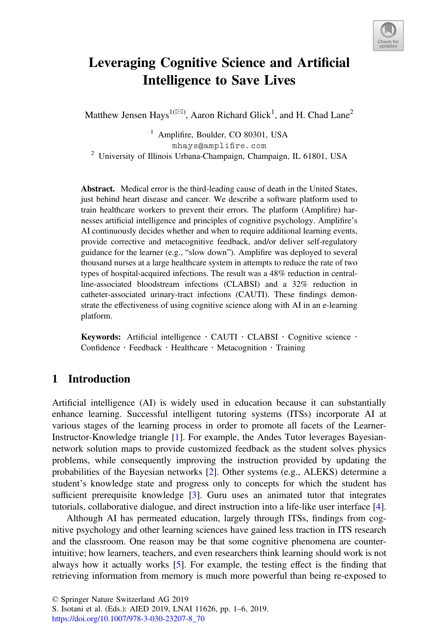

# Leveraging Cognitive Science and Artificial Intelligence to Save Lives

Matthew Jensen Hays<sup>1( $\boxtimes$ )</sup>, Aaron Richard Glick<sup>1</sup>, and H. Chad Lane<sup>2</sup>

 $<sup>1</sup>$  Amplifire, Boulder, CO 80301, USA</sup>

mhays@amplifire.com<br><sup>2</sup> University of Illinois Urbana-Champaign, Champaign, IL 61801, USA

Abstract. Medical error is the third-leading cause of death in the United States, just behind heart disease and cancer. We describe a software platform used to train healthcare workers to prevent their errors. The platform (Amplifire) harnesses artificial intelligence and principles of cognitive psychology. Amplifire's AI continuously decides whether and when to require additional learning events, provide corrective and metacognitive feedback, and/or deliver self-regulatory guidance for the learner (e.g., "slow down"). Amplifire was deployed to several thousand nurses at a large healthcare system in attempts to reduce the rate of two types of hospital-acquired infections. The result was a 48% reduction in centralline-associated bloodstream infections (CLABSI) and a 32% reduction in catheter-associated urinary-tract infections (CAUTI). These findings demonstrate the effectiveness of using cognitive science along with AI in an e-learning platform.

Keywords: Artificial intelligence  $\cdot$  CAUTI  $\cdot$  CLABSI  $\cdot$  Cognitive science  $\cdot$  Confidence  $\cdot$  Feedback  $\cdot$  Healthcare  $\cdot$  Metacognition  $\cdot$  Training

## 1 Introduction

Artificial intelligence (AI) is widely used in education because it can substantially enhance learning. Successful intelligent tutoring systems (ITSs) incorporate AI at various stages of the learning process in order to promote all facets of the Learner-Instructor-Knowledge triangle [[1\]](#page-4-0). For example, the Andes Tutor leverages Bayesiannetwork solution maps to provide customized feedback as the student solves physics problems, while consequently improving the instruction provided by updating the probabilities of the Bayesian networks [\[2](#page-4-0)]. Other systems (e.g., ALEKS) determine a student's knowledge state and progress only to concepts for which the student has sufficient prerequisite knowledge [[3\]](#page-4-0). Guru uses an animated tutor that integrates tutorials, collaborative dialogue, and direct instruction into a life-like user interface [[4\]](#page-4-0).

Although AI has permeated education, largely through ITSs, findings from cognitive psychology and other learning sciences have gained less traction in ITS research and the classroom. One reason may be that some cognitive phenomena are counterintuitive; how learners, teachers, and even researchers think learning should work is not always how it actually works [\[5](#page-4-0)]. For example, the testing effect is the finding that retrieving information from memory is much more powerful than being re-exposed to

© Springer Nature Switzerland AG 2019

S. Isotani et al. (Eds.): AIED 2019, LNAI 11626, pp. 1–6, 2019.

[https://doi.org/10.1007/978-3-030-23207-8\\_70](https://doi.org/10.1007/978-3-030-23207-8_70)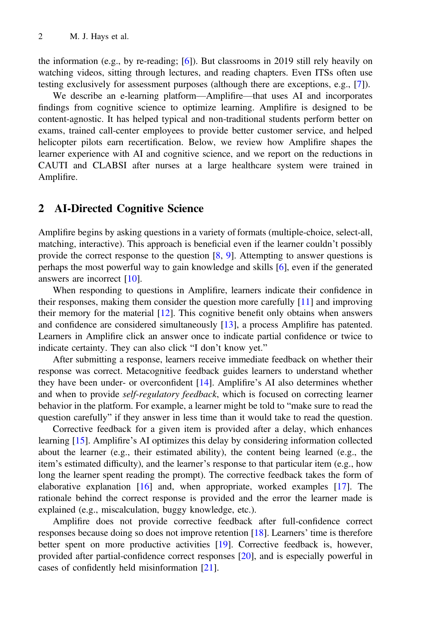the information (e.g., by re-reading; [[6\]](#page-4-0)). But classrooms in 2019 still rely heavily on watching videos, sitting through lectures, and reading chapters. Even ITSs often use testing exclusively for assessment purposes (although there are exceptions, e.g., [\[7](#page-4-0)]).

We describe an e-learning platform—Amplifire—that uses AI and incorporates findings from cognitive science to optimize learning. Amplifire is designed to be content-agnostic. It has helped typical and non-traditional students perform better on exams, trained call-center employees to provide better customer service, and helped helicopter pilots earn recertification. Below, we review how Amplifire shapes the learner experience with AI and cognitive science, and we report on the reductions in CAUTI and CLABSI after nurses at a large healthcare system were trained in Amplifire.

### 2 AI-Directed Cognitive Science

Amplifire begins by asking questions in a variety of formats (multiple-choice, select-all, matching, interactive). This approach is beneficial even if the learner couldn't possibly provide the correct response to the question [\[8](#page-4-0), [9\]](#page-4-0). Attempting to answer questions is perhaps the most powerful way to gain knowledge and skills [[6\]](#page-4-0), even if the generated answers are incorrect [[10\]](#page-4-0).

When responding to questions in Amplifire, learners indicate their confidence in their responses, making them consider the question more carefully [\[11](#page-4-0)] and improving their memory for the material [[12\]](#page-4-0). This cognitive benefit only obtains when answers and confidence are considered simultaneously [[13\]](#page-4-0), a process Amplifire has patented. Learners in Amplifire click an answer once to indicate partial confidence or twice to indicate certainty. They can also click "I don't know yet."

After submitting a response, learners receive immediate feedback on whether their response was correct. Metacognitive feedback guides learners to understand whether they have been under- or overconfident [\[14](#page-4-0)]. Amplifire's AI also determines whether and when to provide self-regulatory feedback, which is focused on correcting learner behavior in the platform. For example, a learner might be told to "make sure to read the question carefully" if they answer in less time than it would take to read the question.

Corrective feedback for a given item is provided after a delay, which enhances learning [[15\]](#page-4-0). Amplifire's AI optimizes this delay by considering information collected about the learner (e.g., their estimated ability), the content being learned (e.g., the item's estimated difficulty), and the learner's response to that particular item (e.g., how long the learner spent reading the prompt). The corrective feedback takes the form of elaborative explanation [\[16](#page-4-0)] and, when appropriate, worked examples [[17\]](#page-4-0). The rationale behind the correct response is provided and the error the learner made is explained (e.g., miscalculation, buggy knowledge, etc.).

Amplifire does not provide corrective feedback after full-confidence correct responses because doing so does not improve retention [[18\]](#page-4-0). Learners' time is therefore better spent on more productive activities [[19\]](#page-5-0). Corrective feedback is, however, provided after partial-confidence correct responses [[20\]](#page-5-0), and is especially powerful in cases of confidently held misinformation [[21\]](#page-5-0).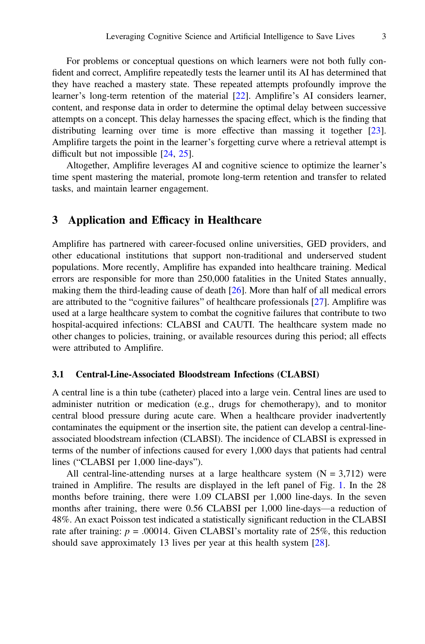For problems or conceptual questions on which learners were not both fully confident and correct, Amplifire repeatedly tests the learner until its AI has determined that they have reached a mastery state. These repeated attempts profoundly improve the learner's long-term retention of the material [[22\]](#page-5-0). Amplifire's AI considers learner, content, and response data in order to determine the optimal delay between successive attempts on a concept. This delay harnesses the spacing effect, which is the finding that distributing learning over time is more effective than massing it together [[23\]](#page-5-0). Amplifire targets the point in the learner's forgetting curve where a retrieval attempt is difficult but not impossible [\[24](#page-5-0), [25\]](#page-5-0).

Altogether, Amplifire leverages AI and cognitive science to optimize the learner's time spent mastering the material, promote long-term retention and transfer to related tasks, and maintain learner engagement.

## 3 Application and Efficacy in Healthcare

Amplifire has partnered with career-focused online universities, GED providers, and other educational institutions that support non-traditional and underserved student populations. More recently, Amplifire has expanded into healthcare training. Medical errors are responsible for more than 250,000 fatalities in the United States annually, making them the third-leading cause of death [[26\]](#page-5-0). More than half of all medical errors are attributed to the "cognitive failures" of healthcare professionals [\[27](#page-5-0)]. Amplifire was used at a large healthcare system to combat the cognitive failures that contribute to two hospital-acquired infections: CLABSI and CAUTI. The healthcare system made no other changes to policies, training, or available resources during this period; all effects were attributed to Amplifire.

#### 3.1 Central-Line-Associated Bloodstream Infections (CLABSI)

A central line is a thin tube (catheter) placed into a large vein. Central lines are used to administer nutrition or medication (e.g., drugs for chemotherapy), and to monitor central blood pressure during acute care. When a healthcare provider inadvertently contaminates the equipment or the insertion site, the patient can develop a central-lineassociated bloodstream infection (CLABSI). The incidence of CLABSI is expressed in terms of the number of infections caused for every 1,000 days that patients had central lines ("CLABSI per 1,000 line-days").

All central-line-attending nurses at a large healthcare system  $(N = 3,712)$  were trained in Amplifire. The results are displayed in the left panel of Fig. [1.](#page-3-0) In the 28 months before training, there were 1.09 CLABSI per 1,000 line-days. In the seven months after training, there were 0.56 CLABSI per 1,000 line-days—a reduction of 48%. An exact Poisson test indicated a statistically significant reduction in the CLABSI rate after training:  $p = .00014$ . Given CLABSI's mortality rate of 25%, this reduction should save approximately 13 lives per year at this health system [[28\]](#page-5-0).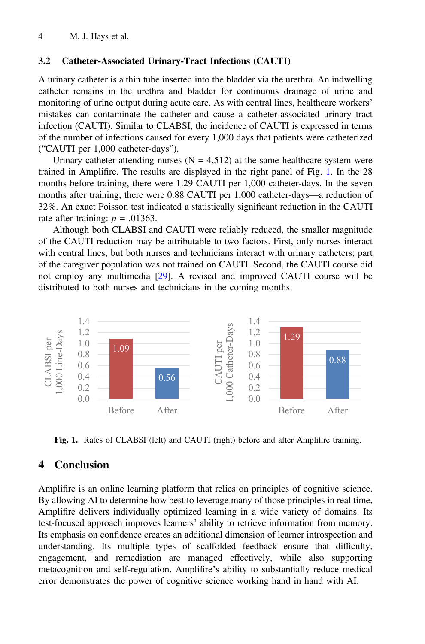#### <span id="page-3-0"></span>3.2 Catheter-Associated Urinary-Tract Infections (CAUTI)

A urinary catheter is a thin tube inserted into the bladder via the urethra. An indwelling catheter remains in the urethra and bladder for continuous drainage of urine and monitoring of urine output during acute care. As with central lines, healthcare workers' mistakes can contaminate the catheter and cause a catheter-associated urinary tract infection (CAUTI). Similar to CLABSI, the incidence of CAUTI is expressed in terms of the number of infections caused for every 1,000 days that patients were catheterized ("CAUTI per 1,000 catheter-days").

Urinary-catheter-attending nurses  $(N = 4.512)$  at the same healthcare system were trained in Amplifire. The results are displayed in the right panel of Fig. 1. In the 28 months before training, there were 1.29 CAUTI per 1,000 catheter-days. In the seven months after training, there were 0.88 CAUTI per 1,000 catheter-days—a reduction of 32%. An exact Poisson test indicated a statistically significant reduction in the CAUTI rate after training:  $p = .01363$ .

Although both CLABSI and CAUTI were reliably reduced, the smaller magnitude of the CAUTI reduction may be attributable to two factors. First, only nurses interact with central lines, but both nurses and technicians interact with urinary catheters; part of the caregiver population was not trained on CAUTI. Second, the CAUTI course did not employ any multimedia [\[29](#page-5-0)]. A revised and improved CAUTI course will be distributed to both nurses and technicians in the coming months.



Fig. 1. Rates of CLABSI (left) and CAUTI (right) before and after Amplifire training.

## 4 Conclusion

Amplifire is an online learning platform that relies on principles of cognitive science. By allowing AI to determine how best to leverage many of those principles in real time, Amplifire delivers individually optimized learning in a wide variety of domains. Its test-focused approach improves learners' ability to retrieve information from memory. Its emphasis on confidence creates an additional dimension of learner introspection and understanding. Its multiple types of scaffolded feedback ensure that difficulty, engagement, and remediation are managed effectively, while also supporting metacognition and self-regulation. Amplifire's ability to substantially reduce medical error demonstrates the power of cognitive science working hand in hand with AI.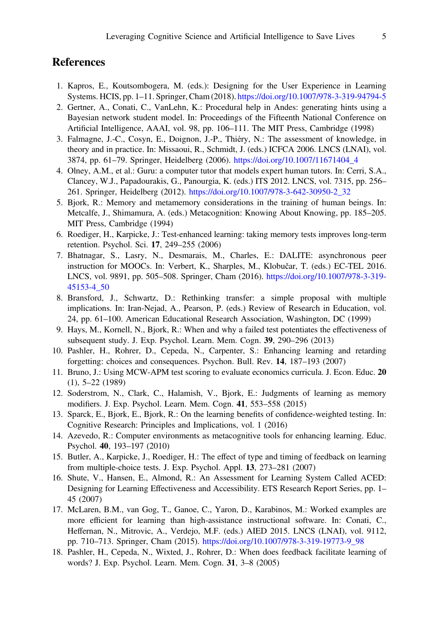## <span id="page-4-0"></span>References

- 1. Kapros, E., Koutsombogera, M. (eds.): Designing for the User Experience in Learning Systems. HCIS, pp. 1–11. Springer, Cham (2018). [https://doi.org/10.1007/978-3-319-94794-5](http://dx.doi.org/10.1007/978-3-319-94794-5)
- 2. Gertner, A., Conati, C., VanLehn, K.: Procedural help in Andes: generating hints using a Bayesian network student model. In: Proceedings of the Fifteenth National Conference on Artificial Intelligence, AAAI, vol. 98, pp. 106–111. The MIT Press, Cambridge (1998)
- 3. Falmagne, J.-C., Cosyn, E., Doignon, J.-P., Thiéry, N.: The assessment of knowledge, in theory and in practice. In: Missaoui, R., Schmidt, J. (eds.) ICFCA 2006. LNCS (LNAI), vol. 3874, pp. 61–79. Springer, Heidelberg (2006). [https://doi.org/10.1007/11671404\\_4](http://dx.doi.org/10.1007/11671404_4)
- 4. Olney, A.M., et al.: Guru: a computer tutor that models expert human tutors. In: Cerri, S.A., Clancey, W.J., Papadourakis, G., Panourgia, K. (eds.) ITS 2012. LNCS, vol. 7315, pp. 256– 261. Springer, Heidelberg (2012). [https://doi.org/10.1007/978-3-642-30950-2\\_32](http://dx.doi.org/10.1007/978-3-642-30950-2_32)
- 5. Bjork, R.: Memory and metamemory considerations in the training of human beings. In: Metcalfe, J., Shimamura, A. (eds.) Metacognition: Knowing About Knowing, pp. 185–205. MIT Press, Cambridge (1994)
- 6. Roediger, H., Karpicke, J.: Test-enhanced learning: taking memory tests improves long-term retention. Psychol. Sci. 17, 249–255 (2006)
- 7. Bhatnagar, S., Lasry, N., Desmarais, M., Charles, E.: DALITE: asynchronous peer instruction for MOOCs. In: Verbert, K., Sharples, M., Klobučar, T. (eds.) EC-TEL 2016. LNCS, vol. 9891, pp. 505–508. Springer, Cham (2016). [https://doi.org/10.1007/978-3-319-](http://dx.doi.org/10.1007/978-3-319-45153-4_50) [45153-4\\_50](http://dx.doi.org/10.1007/978-3-319-45153-4_50)
- 8. Bransford, J., Schwartz, D.: Rethinking transfer: a simple proposal with multiple implications. In: Iran-Nejad, A., Pearson, P. (eds.) Review of Research in Education, vol. 24, pp. 61–100. American Educational Research Association, Washington, DC (1999)
- 9. Hays, M., Kornell, N., Bjork, R.: When and why a failed test potentiates the effectiveness of subsequent study. J. Exp. Psychol. Learn. Mem. Cogn. 39, 290–296 (2013)
- 10. Pashler, H., Rohrer, D., Cepeda, N., Carpenter, S.: Enhancing learning and retarding forgetting: choices and consequences. Psychon. Bull. Rev. 14, 187–193 (2007)
- 11. Bruno, J.: Using MCW-APM test scoring to evaluate economics curricula. J. Econ. Educ. 20 (1), 5–22 (1989)
- 12. Soderstrom, N., Clark, C., Halamish, V., Bjork, E.: Judgments of learning as memory modifiers. J. Exp. Psychol. Learn. Mem. Cogn. 41, 553–558 (2015)
- 13. Sparck, E., Bjork, E., Bjork, R.: On the learning benefits of confidence-weighted testing. In: Cognitive Research: Principles and Implications, vol. 1 (2016)
- 14. Azevedo, R.: Computer environments as metacognitive tools for enhancing learning. Educ. Psychol. 40, 193–197 (2010)
- 15. Butler, A., Karpicke, J., Roediger, H.: The effect of type and timing of feedback on learning from multiple-choice tests. J. Exp. Psychol. Appl. 13, 273–281 (2007)
- 16. Shute, V., Hansen, E., Almond, R.: An Assessment for Learning System Called ACED: Designing for Learning Effectiveness and Accessibility. ETS Research Report Series, pp. 1– 45 (2007)
- 17. McLaren, B.M., van Gog, T., Ganoe, C., Yaron, D., Karabinos, M.: Worked examples are more efficient for learning than high-assistance instructional software. In: Conati, C., Heffernan, N., Mitrovic, A., Verdejo, M.F. (eds.) AIED 2015. LNCS (LNAI), vol. 9112, pp. 710–713. Springer, Cham (2015). [https://doi.org/10.1007/978-3-319-19773-9\\_98](http://dx.doi.org/10.1007/978-3-319-19773-9_98)
- 18. Pashler, H., Cepeda, N., Wixted, J., Rohrer, D.: When does feedback facilitate learning of words? J. Exp. Psychol. Learn. Mem. Cogn. 31, 3–8 (2005)